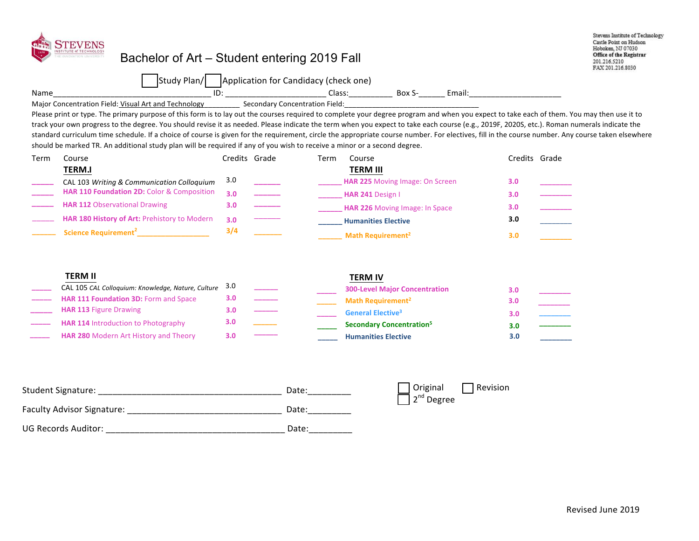| Name | NSTITUTE of TECHNOLOGY<br>Bachelor of Art – Student entering 2020 Fall<br>Study Plan/<br>$\overline{\text{ID}}$ :<br>Major Concentration Field: Visual Art and Technology<br>Please print or type. The primary purpose of this form is to lay out the courses required to complete your degree program and when you expect to take each of them. You may then use it to<br>track your own progress to the degree. You should revise it as needed. Please indicate the term when you expect to take each course (e.g., 2021, 2021S, etc.). Roman numerals indicate the<br>standard curriculum time schedule. If a choice of course is given for the requirement, circle the appropriate course number. For electives, fill in the course number. Any course taken elsewhere<br>should be marked TR. An additional study plan will be required if any of you wish to receive a minor or a second degree. |                          | Application for Candidacy (check one) |      | Email: Email: All and the state of the state of the state of the state of the state of the state of the state o<br>Secondary Concentration Field: The Secondary Concentration Field: |                                       | Stevens Institute of Technology<br>Castle Point on Hudson<br>Hoboken, NJ 07030<br><b>Office of the Registrar</b><br>201.216.5210<br>FAX 201.216.8030 |
|------|--------------------------------------------------------------------------------------------------------------------------------------------------------------------------------------------------------------------------------------------------------------------------------------------------------------------------------------------------------------------------------------------------------------------------------------------------------------------------------------------------------------------------------------------------------------------------------------------------------------------------------------------------------------------------------------------------------------------------------------------------------------------------------------------------------------------------------------------------------------------------------------------------------|--------------------------|---------------------------------------|------|--------------------------------------------------------------------------------------------------------------------------------------------------------------------------------------|---------------------------------------|------------------------------------------------------------------------------------------------------------------------------------------------------|
| Term | Course                                                                                                                                                                                                                                                                                                                                                                                                                                                                                                                                                                                                                                                                                                                                                                                                                                                                                                 | Credits Grade            |                                       | Term | Course                                                                                                                                                                               | Credits Grade                         |                                                                                                                                                      |
|      | <b>TERM.I</b>                                                                                                                                                                                                                                                                                                                                                                                                                                                                                                                                                                                                                                                                                                                                                                                                                                                                                          |                          |                                       |      | <b>TERM III</b>                                                                                                                                                                      |                                       |                                                                                                                                                      |
|      | CAL 103 Writing & Communication Colloquium                                                                                                                                                                                                                                                                                                                                                                                                                                                                                                                                                                                                                                                                                                                                                                                                                                                             | 3.0                      |                                       |      | HAR 225 Moving Image: On Screen                                                                                                                                                      | 3.0                                   |                                                                                                                                                      |
|      | HAR 110 Foundation 2D: Color & Composition                                                                                                                                                                                                                                                                                                                                                                                                                                                                                                                                                                                                                                                                                                                                                                                                                                                             | 3.0                      |                                       |      | HAR 241 Design I                                                                                                                                                                     | 3.0                                   |                                                                                                                                                      |
|      | <b>HAR 112 Observational Drawing</b>                                                                                                                                                                                                                                                                                                                                                                                                                                                                                                                                                                                                                                                                                                                                                                                                                                                                   | 3.0                      |                                       |      | HAR 226 Moving Image: In Space                                                                                                                                                       | 3.0                                   |                                                                                                                                                      |
|      | HAR 180 History of Art: Prehistory to Modern                                                                                                                                                                                                                                                                                                                                                                                                                                                                                                                                                                                                                                                                                                                                                                                                                                                           | 3.0                      |                                       |      | <b>Humanities Elective</b>                                                                                                                                                           | 3.0                                   | $\frac{1}{2}$                                                                                                                                        |
|      | <b>HAR 111 Foundation 3D: Fo</b><br>and                                                                                                                                                                                                                                                                                                                                                                                                                                                                                                                                                                                                                                                                                                                                                                                                                                                                | 3.0                      |                                       |      | Math Requirement <sup>2</sup>                                                                                                                                                        | 3.0                                   |                                                                                                                                                      |
|      | <b>TERM II</b><br>CAL 105 CAL Colloquium: Knowledge, Nature, Culture<br><b>HAR 113 Figure Drawing</b><br>HAR 114 Introduction to Photography<br>HAR 280 Modern Art History and Theory                                                                                                                                                                                                                                                                                                                                                                                                                                                                                                                                                                                                                                                                                                                  | 3.0<br>3.0<br>3.0<br>3.0 |                                       |      | <b>TERM IV</b><br><b>300-Level Major Concentration</b><br>Math Requirement <sup>2</sup><br><b>General Elective<sup>3</sup></b><br><b>Secondary Concentration<sup>5</sup></b>         | 3.0<br>3.0<br>3.0 <sub>2</sub><br>3.0 | $\overline{a}$                                                                                                                                       |

**\_\_\_\_\_ \_\_\_\_\_\_\_\_ Humanities Elective**

**3.0** 

| <b>Student Signature:</b>         | Date: | Original<br>$\overline{\mathbf{a}}$ 2 <sup>nd</sup> Degree | Revision |
|-----------------------------------|-------|------------------------------------------------------------|----------|
| <b>Faculty Advisor Signature:</b> | Date: |                                                            |          |
| <b>UG Records Auditor:</b>        | Date: |                                                            |          |

**\_\_\_\_\_ 3.0 \_\_\_\_\_\_** Science/Computer Science Requirement<sup>2</sup>